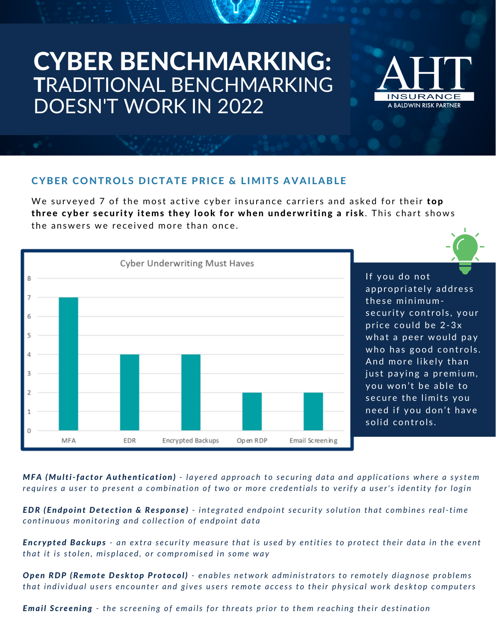# CYBER BENCHMARKING: TRADITIONAL BENCHMARKING DOESN'T WORK IN 2022



#### CYBER CONTROLS DICTATE PRICE & LIMITS AVAILABLE

We surveyed 7 of the most active cyber insurance carriers and asked for their top three cyber security items they look for when underwriting a risk. This chart shows the answers we received more than once.



MFA (Multi-factor Authentication) - layered approach to securing data and applications where a system requires a user to present a combination of two or more credentials to verify a user's identity for login

**EDR (Endpoint Detection & Response)** - integrated endpoint security solution that combines real-time *c ontinuous monit o ring and c o l l e c ti on o f endpo int da t a*

**Encrypted Backups** - an extra security measure that is used by entities to protect their data in the event that it is stolen, misplaced, or compromised in some way

Open RDP (Remote Desktop Protocol) - enables network administrators to remotely diagnose problems that individual users encounter and gives users remote access to their physical work desktop computers

**Email Screening** - the screening of emails for threats prior to them reaching their destination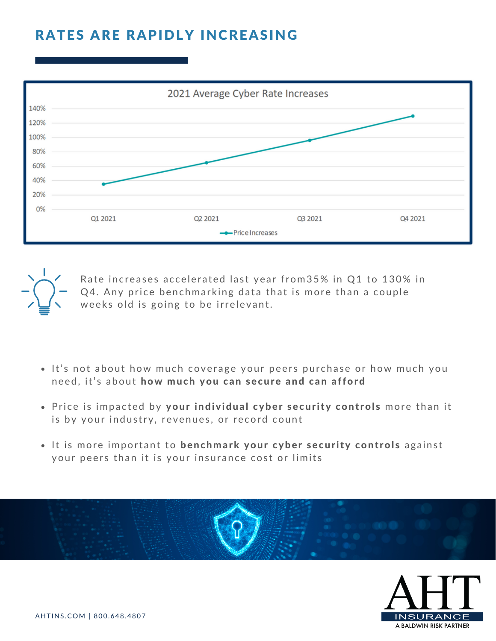### RATES ARE RAPIDLY INCREASING





Rate increases accelerated last year from 35% in Q1 to 130% in Q4. Any price benchmarking data that is more than a couple weeks old is going to be irrelevant.

- It's not about how much coverage your peers purchase or how much you need, it's about how much you can secure and can afford
- Price is impacted by your individual cyber security controls more than it is by your industry, revenues, or record count
- . It is more important to benchmark your cyber security controls against your peers than it is your insurance cost or limits